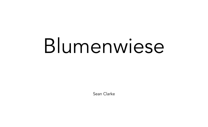## Blumenwiese

Sean Clarke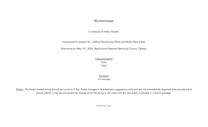## Blumenwiese

In memory of Helen Fiedler.

Composed for project iso : Jeffrey Stonehouse (flute) and Robin Best (harp).

Premiered on May 13<sup>th</sup>, 2018, Beechwood National Memorial Centre, Ottawa.

Instrumentation Flute

Harp

Duration 14 minutes

Notes : The harp's lowest string should be tuned to C-flat. Pedal changes in brackets are suggestions only and are not immediately required; they are placed at points where it may be convenient to change since the string is not used until the new pitch is needed in a future passage.

© 2018 Sean Clarke